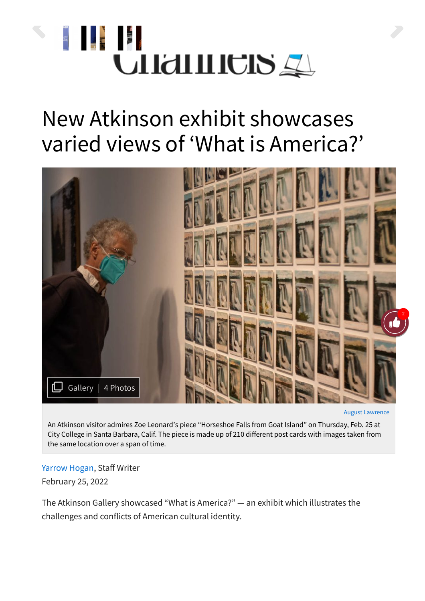

## New Atkinson exhibit showcases varied views of 'What is America?'



August [Lawrence](https://www.thechannels.org/staff_name/august-lawrence/)

An Atkinson visitor admires Zoe Leonard's piece "Horseshoe Falls from Goat Island" on Thursday, Feb. 25 at City College in Santa Barbara, Calif. The piece is made up of 210 different post cards with images taken from the same location over a span of time.

## [Yarrow](https://www.thechannels.org/staff_name/yarrow-hogan/) Hogan, Staff Writer February 25, 2022

The Atkinson Gallery showcased "What is America?" — an exhibit which illustrates the challenges and conflicts of American cultural identity.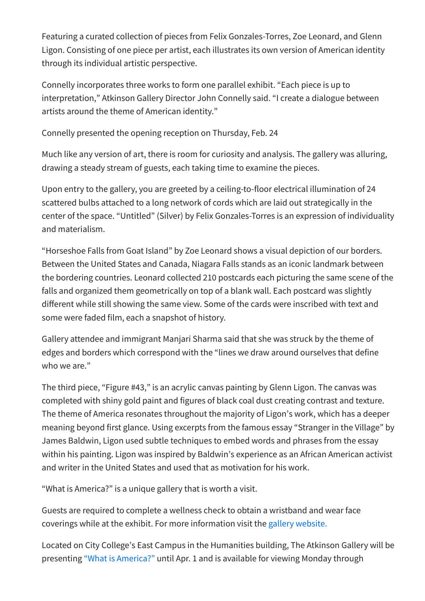Featuring a curated collection of pieces from Felix Gonzales-Torres, Zoe Leonard, and Glenn Ligon. Consisting of one piece per artist, each illustrates its own version of American identity through its individual artistic perspective.

Connelly incorporates three works to form one parallel exhibit. "Each piece is up to interpretation," Atkinson Gallery Director John Connelly said. "I create a dialogue between artists around the theme of American identity."

Connelly presented the opening reception on Thursday, Feb. 24

Much like any version of art, there is room for curiosity and analysis. The gallery was alluring, drawing a steady stream of guests, each taking time to examine the pieces.

Upon entry to the gallery, you are greeted by a ceiling-to-floor electrical illumination of 24 scattered bulbs attached to a long network of cords which are laid out strategically in the center of the space. "Untitled" (Silver) by Felix Gonzales-Torres is an expression of individuality and materialism.

"Horseshoe Falls from Goat Island" by Zoe Leonard shows a visual depiction of our borders. Between the United States and Canada, Niagara Falls stands as an iconic landmark between the bordering countries. Leonard collected 210 postcards each picturing the same scene of the falls and organized them geometrically on top of a blank wall. Each postcard was slightly different while still showing the same view. Some of the cards were inscribed with text and some were faded film, each a snapshot of history.

Gallery attendee and immigrant Manjari Sharma said that she was struck by the theme of edges and borders which correspond with the "lines we draw around ourselves that define who we are."

The third piece, "Figure #43," is an acrylic canvas painting by Glenn Ligon. The canvas was completed with shiny gold paint and figures of black coal dust creating contrast and texture. The theme of America resonates throughout the majority of Ligon's work, which has a deeper meaning beyond first glance. Using excerpts from the famous essay "Stranger in the Village" by James Baldwin, Ligon used subtle techniques to embed words and phrases from the essay within his painting. Ligon was inspired by Baldwin's experience as an African American activist and writer in the United States and used that as motivation for his work.

"What is America?" is a unique gallery that is worth a visit.

Guests are required to complete a wellness check to obtain a wristband and wear face coverings while at the exhibit. For more information visit the gallery [website.](http://gallery.sbcc.edu/)

Located on City College's East Campus in the Humanities building, The Atkinson Gallery will be presenting "What is [America?"](http://gallery.sbcc.edu/upcoming-exhibitions.html) until Apr. 1 and is available for viewing Monday through